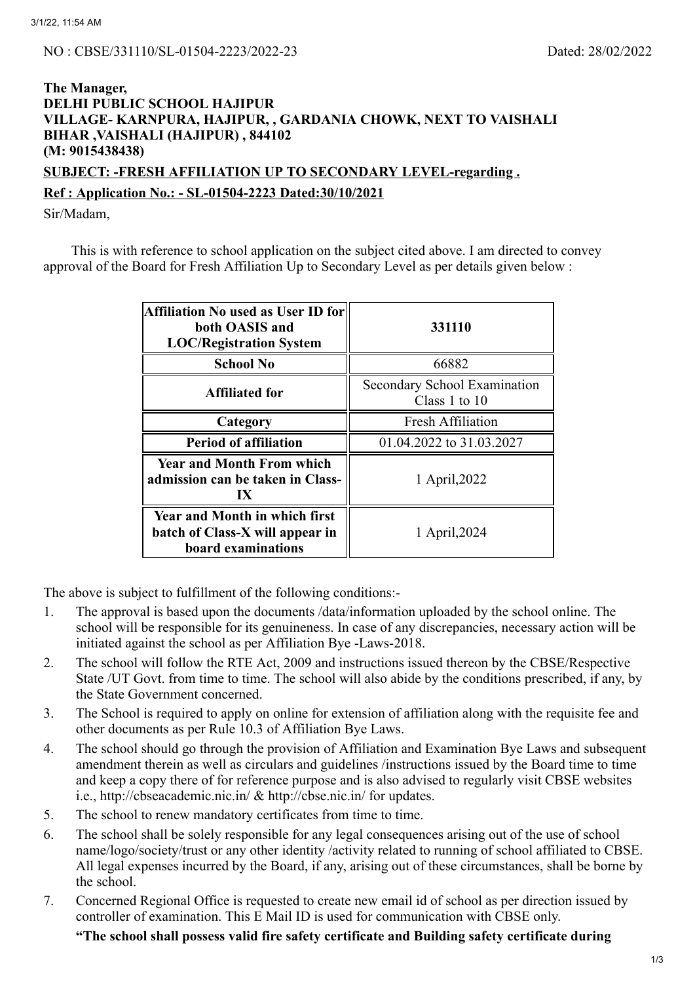## **The Manager, DELHI PUBLIC SCHOOL HAJIPUR VILLAGE- KARNPURA, HAJIPUR, , GARDANIA CHOWK, NEXT TO VAISHALI BIHAR ,VAISHALI (HAJIPUR) , 844102 (M: 9015438438)**

**SUBJECT: -FRESH AFFILIATION UP TO SECONDARY LEVEL-regarding .**

# **Ref : Application No.: - SL-01504-2223 Dated:30/10/2021**

Sir/Madam,

This is with reference to school application on the subject cited above. I am directed to convey approval of the Board for Fresh Affiliation Up to Secondary Level as per details given below :

| Affiliation No used as User ID for<br>both OASIS and<br><b>LOC/Registration System</b>          | 331110                                          |  |
|-------------------------------------------------------------------------------------------------|-------------------------------------------------|--|
| <b>School No</b>                                                                                | 66882                                           |  |
| <b>Affiliated for</b>                                                                           | Secondary School Examination<br>Class 1 to $10$ |  |
| Category                                                                                        | <b>Fresh Affiliation</b>                        |  |
| <b>Period of affiliation</b>                                                                    | 01.04.2022 to 31.03.2027                        |  |
| <b>Year and Month From which</b><br>admission can be taken in Class-<br>$\mathbf{I} \mathbf{X}$ | 1 April, 2022                                   |  |
| <b>Year and Month in which first</b><br>batch of Class-X will appear in<br>board examinations   | 1 April, 2024                                   |  |

The above is subject to fulfillment of the following conditions:-

- 1. The approval is based upon the documents /data/information uploaded by the school online. The school will be responsible for its genuineness. In case of any discrepancies, necessary action will be initiated against the school as per Affiliation Bye -Laws-2018.
- 2. The school will follow the RTE Act, 2009 and instructions issued thereon by the CBSE/Respective State /UT Govt. from time to time. The school will also abide by the conditions prescribed, if any, by the State Government concerned.
- 3. The School is required to apply on online for extension of affiliation along with the requisite fee and other documents as per Rule 10.3 of Affiliation Bye Laws.
- 4. The school should go through the provision of Affiliation and Examination Bye Laws and subsequent amendment therein as well as circulars and guidelines /instructions issued by the Board time to time and keep a copy there of for reference purpose and is also advised to regularly visit CBSE websites i.e., http://cbseacademic.nic.in/ & http://cbse.nic.in/ for updates.
- 5. The school to renew mandatory certificates from time to time.
- 6. The school shall be solely responsible for any legal consequences arising out of the use of school name/logo/society/trust or any other identity /activity related to running of school affiliated to CBSE. All legal expenses incurred by the Board, if any, arising out of these circumstances, shall be borne by the school.
- 7. Concerned Regional Office is requested to create new email id of school as per direction issued by controller of examination. This E Mail ID is used for communication with CBSE only.

**"The school shall possess valid fire safety certificate and Building safety certificate during**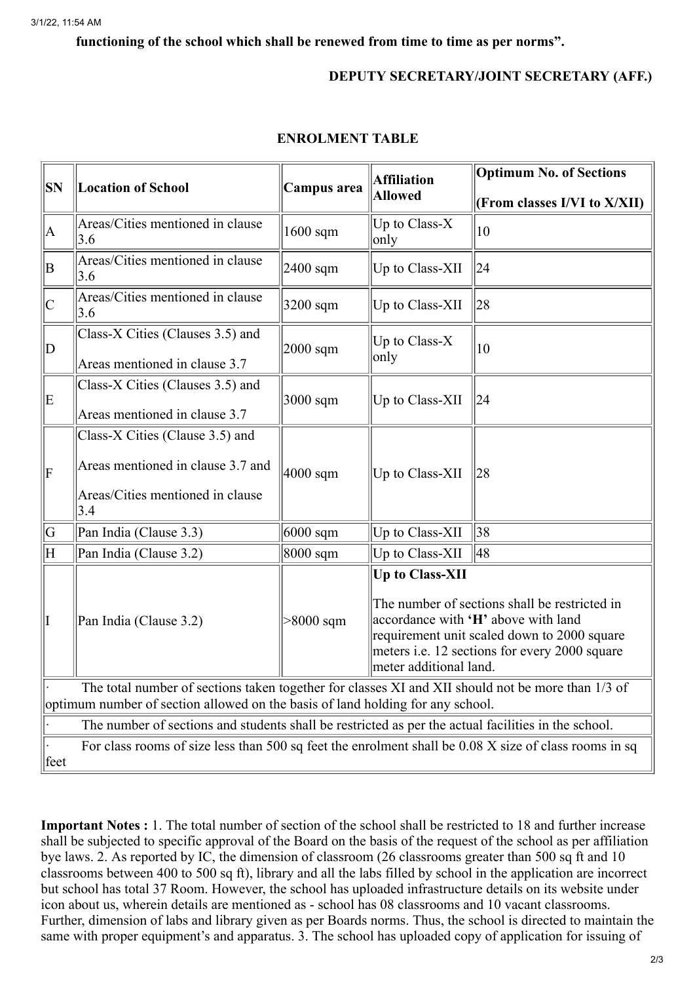#### **functioning of the school which shall be renewed from time to time as per norms".**

### **DEPUTY SECRETARY/JOINT SECRETARY (AFF.)**

| SN                                                                                                                                                                                  | <b>Location of School</b>               | Campus area | <b>Affiliation</b><br><b>Allowed</b>                                                                                                                                                                                                            | <b>Optimum No. of Sections</b> |  |
|-------------------------------------------------------------------------------------------------------------------------------------------------------------------------------------|-----------------------------------------|-------------|-------------------------------------------------------------------------------------------------------------------------------------------------------------------------------------------------------------------------------------------------|--------------------------------|--|
|                                                                                                                                                                                     |                                         |             |                                                                                                                                                                                                                                                 | (From classes I/VI to X/XII)   |  |
| A                                                                                                                                                                                   | Areas/Cities mentioned in clause<br>3.6 | $1600$ sqm  | Up to Class-X<br>only                                                                                                                                                                                                                           | 10                             |  |
| ΙB                                                                                                                                                                                  | Areas/Cities mentioned in clause<br>3.6 | $2400$ sqm  | Up to Class-XII                                                                                                                                                                                                                                 | 24                             |  |
| $\mathsf{C}$                                                                                                                                                                        | Areas/Cities mentioned in clause<br>3.6 | 3200 sqm    | Up to Class-XII                                                                                                                                                                                                                                 | 28                             |  |
| $\mathbf D$                                                                                                                                                                         | Class-X Cities (Clauses 3.5) and        | $2000$ sqm  | Up to Class-X<br>only                                                                                                                                                                                                                           | 10                             |  |
|                                                                                                                                                                                     | Areas mentioned in clause 3.7           |             |                                                                                                                                                                                                                                                 |                                |  |
| E                                                                                                                                                                                   | Class-X Cities (Clauses 3.5) and        | 3000 sqm    | Up to Class-XII                                                                                                                                                                                                                                 | 24                             |  |
|                                                                                                                                                                                     | Areas mentioned in clause 3.7           |             |                                                                                                                                                                                                                                                 |                                |  |
| $\vert \mathrm{F}$                                                                                                                                                                  | Class-X Cities (Clause 3.5) and         | $4000$ sqm  | Up to Class-XII                                                                                                                                                                                                                                 |                                |  |
|                                                                                                                                                                                     | Areas mentioned in clause 3.7 and       |             |                                                                                                                                                                                                                                                 | 28                             |  |
|                                                                                                                                                                                     | Areas/Cities mentioned in clause<br>3.4 |             |                                                                                                                                                                                                                                                 |                                |  |
| $\overline{G}$                                                                                                                                                                      | Pan India (Clause 3.3)                  | $6000$ sqm  | Up to Class-XII                                                                                                                                                                                                                                 | 38                             |  |
| $\overline{\mathrm{H}}$                                                                                                                                                             | Pan India (Clause 3.2)                  | 8000 sqm    | Up to Class-XII                                                                                                                                                                                                                                 | 48                             |  |
| I                                                                                                                                                                                   | Pan India (Clause 3.2)                  | $>8000$ sqm | <b>Up to Class-XII</b><br>The number of sections shall be restricted in<br>accordance with 'H' above with land<br>requirement unit scaled down to 2000 square<br>meters <i>i.e.</i> 12 sections for every 2000 square<br>meter additional land. |                                |  |
| The total number of sections taken together for classes XI and XII should not be more than 1/3 of<br>optimum number of section allowed on the basis of land holding for any school. |                                         |             |                                                                                                                                                                                                                                                 |                                |  |
| The number of sections and students shall be restricted as per the actual facilities in the school.                                                                                 |                                         |             |                                                                                                                                                                                                                                                 |                                |  |
| For class rooms of size less than 500 sq feet the enrolment shall be $0.08$ X size of class rooms in sq<br>feet                                                                     |                                         |             |                                                                                                                                                                                                                                                 |                                |  |

#### **ENROLMENT TABLE**

**Important Notes :** 1. The total number of section of the school shall be restricted to 18 and further increase shall be subjected to specific approval of the Board on the basis of the request of the school as per affiliation bye laws. 2. As reported by IC, the dimension of classroom (26 classrooms greater than 500 sq ft and 10 classrooms between 400 to 500 sq ft), library and all the labs filled by school in the application are incorrect but school has total 37 Room. However, the school has uploaded infrastructure details on its website under icon about us, wherein details are mentioned as - school has 08 classrooms and 10 vacant classrooms. Further, dimension of labs and library given as per Boards norms. Thus, the school is directed to maintain the same with proper equipment's and apparatus. 3. The school has uploaded copy of application for issuing of